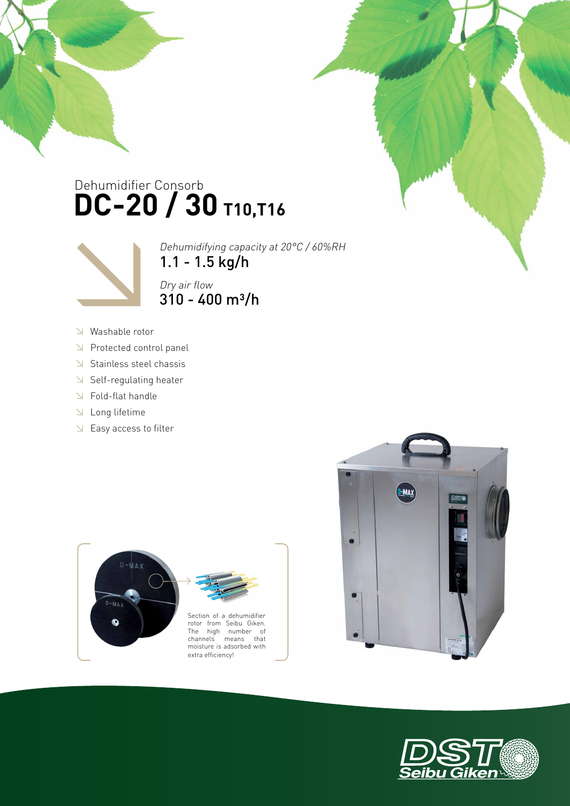## Dehumidifier Consorb **DC-20 / 30 T10,T16**



Dehumidifying capacity at 20°C / 60%RH 1.1 - 1.5 kg/h Dry air flow  $310 - 400$  m<sup>3</sup>/h

- Washable rotor
- Protected control panel
- $\triangle$  Stainless steel chassis
- $\triangleleft$  Self-regulating heater
- Fold-flat handle
- Long lifetime
- Easy access to filter